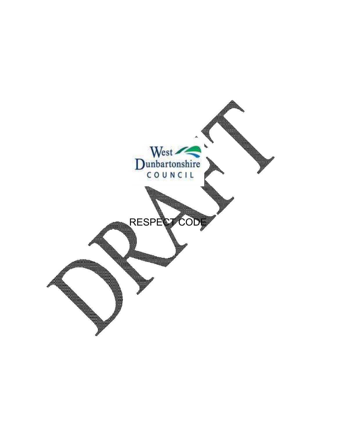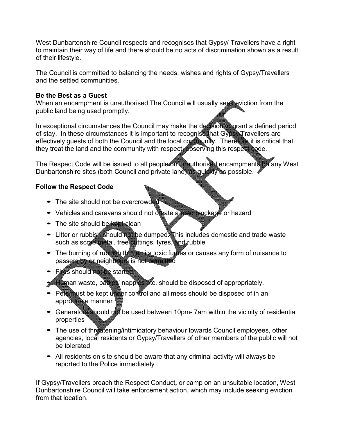West Dunbartonshire Council respects and recognises that Gypsy/ Travellers have a right to maintain their way of life and there should be no acts of discrimination shown as a result of their lifestyle.

The Council is committed to balancing the needs, wishes and rights of Gypsy/Travellers and the settled communities.

## **Be the Best as a Guest**

When an encampment is unauthorised The Council will usually seef eviction from the public land being used promptly.

In exceptional circumstances the Council may make the decision to grant a defined period of stay. In these circumstances it is important to recognise that Gypsy/Travellers are effectively guests of both the Council and the local community. Therefore it is critical that they treat the land and the community with respect, observing this respect code.

The Respect Code will be issued to all people on unauthorised encampments on any West Dunbartonshire sites (both Council and private land) as quickly as possible.

## **Follow the Respect Code**

- The site should not be overcrowded
- Vehicles and caravans should not create a road blockage or hazard
- The site should be **kept clean**
- Litter or rubbish should not be dumped. This includes domestic and trade waste such as scrap metal, tree cuttings, tyres, and rubble
- The burning of rubbish the temits toxic furnes or causes any form of nuisance to passers by or neighbours is not permitted
- Fires should not be started
- $\blacktriangleright$  Human waste, babies' nappies etc. should be disposed of appropriately.
- Pets must be kept under control and all mess should be disposed of in an appropriate manner
- Generators should not be used between 10pm-7am within the vicinity of residential properties
- The use of threatening/intimidatory behaviour towards Council employees, other agencies, local residents or Gypsy/Travellers of other members of the public will not be tolerated
- All residents on site should be aware that any criminal activity will always be reported to the Police immediately

If Gypsy/Travellers breach the Respect Conduct**,** or camp on an unsuitable location, West Dunbartonshire Council will take enforcement action, which may include seeking eviction from that location.